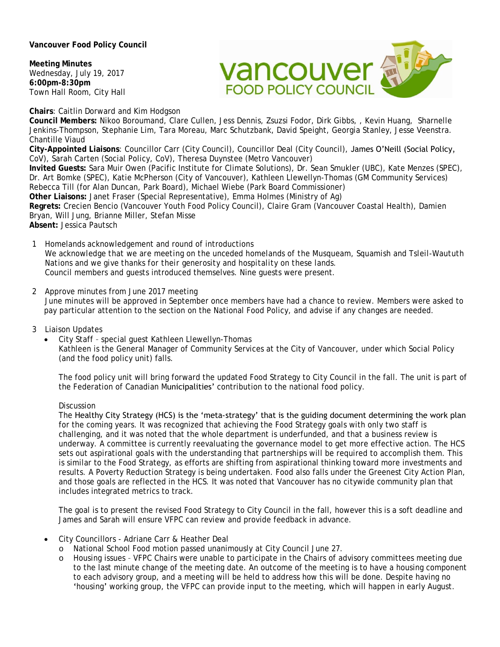**Vancouver Food Policy Council** 

**Meeting Minutes** Wednesday, July 19, 2017 **6:00pm-8:30pm** Town Hall Room, City Hall



**Chairs**: Caitlin Dorward and Kim Hodgson

**Council Members:** Nikoo Boroumand, Clare Cullen, Jess Dennis, Zsuzsi Fodor, Dirk Gibbs, , Kevin Huang, Sharnelle Jenkins-Thompson, Stephanie Lim, Tara Moreau, Marc Schutzbank, David Speight, Georgia Stanley, Jesse Veenstra. Chantille Viaud

**City-Appointed Liaisons**: Councillor Carr (City Council), Councillor Deal (City Council), James O'Neill (Social Policy, CoV), Sarah Carten (Social Policy, CoV), Theresa Duynstee (Metro Vancouver)

**Invited Guests:** Sara Muir Owen (Pacific Institute for Climate Solutions), Dr. Sean Smukler (UBC), Kate Menzes (SPEC), Dr. Art Bomke (SPEC), Katie McPherson (City of Vancouver), Kathleen Llewellyn-Thomas (GM Community Services) Rebecca Till (for Alan Duncan, Park Board), Michael Wiebe (Park Board Commissioner)

**Other Liaisons:** Janet Fraser (Special Representative), Emma Holmes (Ministry of Ag)

**Regrets:** Crecien Bencio (Vancouver Youth Food Policy Council), Claire Gram (Vancouver Coastal Health), Damien Bryan, Will Jung, Brianne Miller, Stefan Misse

**Absent:** Jessica Pautsch

- 1 Homelands acknowledgement and round of introductions *We acknowledge that we are meeting on the unceded homelands of the Musqueam, Squamish and Tsleil-Waututh Nations and we give thanks for their generosity and hospitality on these lands.* Council members and guests introduced themselves. Nine guests were present.
- 2 Approve minutes from June 2017 meeting June minutes will be approved in September once members have had a chance to review. Members were asked to pay particular attention to the section on the National Food Policy, and advise if any changes are needed.
- 3 Liaison Updates
	- City Staff special guest Kathleen Llewellyn-Thomas Kathleen is the General Manager of Community Services at the City of Vancouver, under which Social Policy (and the food policy unit) falls.

The food policy unit will bring forward the updated Food Strategy to City Council in the fall. The unit is part of the Federation of Canadian Municipalities' contribution to the national food policy.

### **Discussion**

The Healthy City Strategy (HCS) is the 'meta-strategy' that is the guiding document determining the work plan for the coming years. It was recognized that achieving the Food Strategy goals with only two staff is challenging, and it was noted that the whole department is underfunded, and that a business review is underway. A committee is currently reevaluating the governance model to get more effective action. The HCS sets out aspirational goals with the understanding that partnerships will be required to accomplish them. This is similar to the Food Strategy, as efforts are shifting from aspirational thinking toward more investments and results. A Poverty Reduction Strategy is being undertaken. Food also falls under the Greenest City Action Plan, and those goals are reflected in the HCS. It was noted that Vancouver has no citywide community plan that includes integrated metrics to track.

The goal is to present the revised Food Strategy to City Council in the fall, however this is a soft deadline and James and Sarah will ensure VFPC can review and provide feedback in advance.

- City Councillors Adriane Carr & Heather Deal
	- o National School Food motion passed unanimously at City Council June 27.
		- o Housing issues VFPC Chairs were unable to participate in the Chairs of advisory committees meeting due to the last minute change of the meeting date. An outcome of the meeting is to have a housing component to each advisory group, and a meeting will be held to address how this will be done. Despite having no 'housing' working group, the VFPC can provide input to the meeting, which will happen in early August.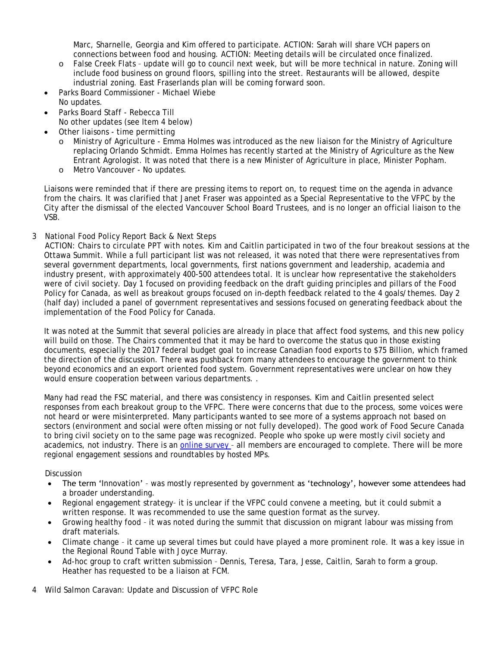Marc, Sharnelle, Georgia and Kim offered to participate. ACTION: Sarah will share VCH papers on connections between food and housing. ACTION: Meeting details will be circulated once finalized.

- False Creek Flats update will go to council next week, but will be more technical in nature. Zoning will include food business on ground floors, spilling into the street. Restaurants will be allowed, despite industrial zoning. East Fraserlands plan will be coming forward soon.
- Parks Board Commissioner Michael Wiebe
- No updates.
	- Parks Board Staff Rebecca Till No other updates (see Item 4 below)
- Other liaisons time permitting
	- o Ministry of Agriculture Emma Holmes was introduced as the new liaison for the Ministry of Agriculture replacing Orlando Schmidt. Emma Holmes has recently started at the Ministry of Agriculture as the New Entrant Agrologist. It was noted that there is a new Minister of Agriculture in place, Minister Popham.
	- o Metro Vancouver No updates.

Liaisons were reminded that if there are pressing items to report on, to request time on the agenda in advance from the chairs. It was clarified that Janet Fraser was appointed as a Special Representative to the VFPC by the City after the dismissal of the elected Vancouver School Board Trustees, and is no longer an official liaison to the VSB.

3 National Food Policy Report Back & Next Steps

ACTION: Chairs to circulate PPT with notes. Kim and Caitlin participated in two of the four breakout sessions at the Ottawa Summit. While a full participant list was not released, it was noted that there were representatives from several government departments, local governments, first nations government and leadership, academia and industry present, with approximately 400-500 attendees total. It is unclear how representative the stakeholders were of civil society. Day 1 focused on providing feedback on the draft guiding principles and pillars of the Food Policy for Canada, as well as breakout groups focused on in-depth feedback related to the 4 goals/themes. Day 2 (half day) included a panel of government representatives and sessions focused on generating feedback about the implementation of the Food Policy for Canada.

It was noted at the Summit that several policies are already in place that affect food systems, and this new policy will build on those. The Chairs commented that it may be hard to overcome the status quo in those existing documents, especially the 2017 federal budget goal to increase Canadian food exports to \$75 Billion, which framed the direction of the discussion. There was pushback from many attendees to encourage the government to think beyond economics and an export oriented food system. Government representatives were unclear on how they would ensure cooperation between various departments. .

Many had read the FSC material, and there was consistency in responses. Kim and Caitlin presented select responses from each breakout group to the VFPC. There were concerns that due to the process, some voices were not heard or were misinterpreted. Many participants wanted to see more of a systems approach not based on sectors (environment and social were often missing or not fully developed). The good work of Food Secure Canada to bring civil society on to the same page was recognized. People who spoke up were mostly civil society and academics, not industry. There is an [online survey](http://nqueryrpts.finance.ubc.ca/smartforms/SF_Form_Travel.pdfhttps:/www.canada.ca/en/campaign/food-policy.html?utm_source=partner&utm_medium=banner&utm_campaign=food_policy&utm_content=primaryEN) - all members are encouraged to complete. There will be more regional engagement sessions and roundtables by hosted MPs.

**Discussion** 

- The term 'Innovation' was mostly represented by government as 'technology', however some attendees had a broader understanding.
- Regional engagement strategy– it is unclear if the VFPC could convene a meeting, but it could submit a written response. It was recommended to use the same question format as the survey.
- Growing healthy food it was noted during the summit that discussion on migrant labour was missing from draft materials.
- Climate change it came up several times but could have played a more prominent role. It was a key issue in the Regional Round Table with Joyce Murray.
- Ad-hoc group to craft written submission Dennis, Teresa, Tara, Jesse, Caitlin, Sarah to form a group. Heather has requested to be a liaison at FCM.
- 4 Wild Salmon Caravan: Update and Discussion of VFPC Role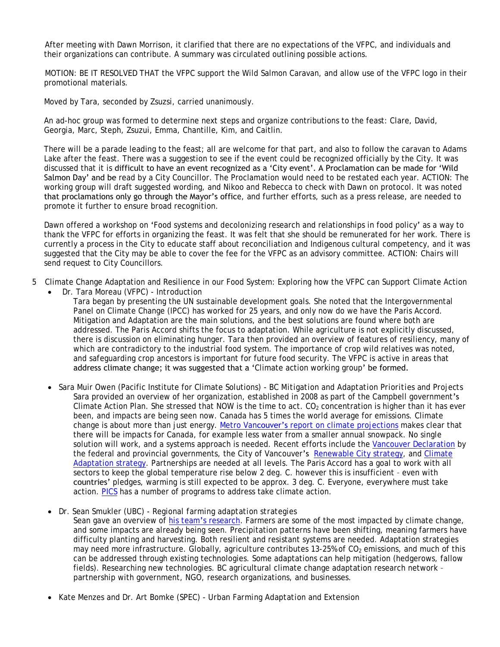After meeting with Dawn Morrison, it clarified that there are no expectations of the VFPC, and individuals and their organizations can contribute. A summary was circulated outlining possible actions.

MOTION: BE IT RESOLVED THAT the VFPC support the Wild Salmon Caravan, and allow use of the VFPC logo in their promotional materials.

Moved by Tara, seconded by Zsuzsi, carried unanimously.

An ad-hoc group was formed to determine next steps and organize contributions to the feast: Clare, David, Georgia, Marc, Steph, Zsuzui, Emma, Chantille, Kim, and Caitlin.

There will be a parade leading to the feast; all are welcome for that part, and also to follow the caravan to Adams Lake after the feast. There was a suggestion to see if the event could be recognized officially by the City. It was discussed that it is difficult to have an event recognized as a 'City event'. A Proclamation can be made for 'Wild Salmon Day' and be read by a City Councillor. The Proclamation would need to be restated each year. ACTION: The working group will draft suggested wording, and Nikoo and Rebecca to check with Dawn on protocol. It was noted that proclamations only go through the Mayor's office, and further efforts, such as a press release, are needed to promote it further to ensure broad recognition.

Dawn offered a workshop on 'Food systems and decolonizing research and relationships in food policy' as a way to thank the VFPC for efforts in organizing the feast. It was felt that she should be remunerated for her work. There is currently a process in the City to educate staff about reconciliation and Indigenous cultural competency, and it was suggested that the City may be able to cover the fee for the VFPC as an advisory committee. ACTION: Chairs will send request to City Councillors.

- 5 Climate Change Adaptation and Resilience in our Food System: Exploring how the VFPC can Support Climate Action
	- Dr. Tara Moreau (VFPC) *- Introduction* Tara began by presenting the UN sustainable development goals. She noted that the Intergovernmental Panel on Climate Change (IPCC) has worked for 25 years, and only now do we have the Paris Accord. Mitigation and Adaptation are the main solutions, and the best solutions are found where both are addressed. The Paris Accord shifts the focus to adaptation. While agriculture is not explicitly discussed, there is discussion on eliminating hunger. Tara then provided an overview of features of resiliency, many of which are contradictory to the industrial food system. The importance of crop wild relatives was noted, and safeguarding crop ancestors is important for future food security. The VFPC is active in areas that address climate change; it was suggested that a 'Climate action working group' be formed.
	- Sara Muir Owen (Pacific Institute for Climate Solutions) *- BC Mitigation and Adaptation Priorities and Projects* Sara provided an overview of her organization, established in 2008 as part of the Campbell government's Climate Action Plan. She stressed that NOW is the time to act.  $CO<sub>2</sub>$  concentration is higher than it has ever been, and impacts are being seen now. Canada has 5 times the world average for emissions. Climate change is about more than just energy. Metro Vancouver's report [on climate projections](http://www.metrovancouver.org/services/air-quality/AirQualityPublications/ClimateProjectionsForMetroVancouver.pdf) makes clear that there will be impacts for Canada, for example less water from a smaller annual snowpack. No single solution will work, and a systems approach is needed. Recent efforts include the [Vancouver Declaration](https://news.gov.bc.ca/stories/vancouver-declaration-on-clean-growth-and-climate-change) by the federal and provincial governments, the City of Vancouver's [Renewable City strategy,](https://www.google.ca/url?sa=t&rct=j&q=&esrc=s&source=web&cd=2&cad=rja&uact=8&ved=0ahUKEwiCuJeb3aDVAhUR4GMKHSf1AuEQFggxMAE&url=http%3A%2F%2Fvancouver.ca%2Ffiles%2Fcov%2Frenewable-city-strategy-booklet-2015.pdf&usg=AFQjCNG78WgsUW6h2hBkArdq7jrjxLFN9Q) and Climate [Adaptation strategy.](file:///C:/Users/vicky/AppData/Local/Temp/vancouver.ca/files/cov/Vancouver-Climate-Change-Adaptation-Strategy-2012-11-07.pdf) Partnerships are needed at all levels. The Paris Accord has a goal to work with all sectors to keep the global temperature rise below 2 deg. C. however this is insufficient – even with countries' pledges, warming is still expected to be approx. 3 deg. C. Everyone, everywhere must take action. [PICS](https://sustain.ubc.ca/pics) has a number of programs to address take climate action.

 Dr. Sean Smukler (UBC) - *Regional farming adaptation strategies* Sean gave an overview of his team'[s research.](http://sal-lab.landfood.ubc.ca/) Farmers are some of the most impacted by climate change, and some impacts are already being seen. Precipitation patterns have been shifting, meaning farmers have difficulty planting and harvesting. Both resilient and resistant systems are needed. Adaptation strategies may need more infrastructure. Globally, agriculture contributes 13-25% of  $CO<sub>2</sub>$  emissions, and much of this can be addressed through existing technologies. Some adaptations can help mitigation (hedgerows, fallow fields). Researching new technologies. BC agricultural climate change adaptation research network – partnership with government, NGO, research organizations, and businesses.

Kate Menzes and Dr. Art Bomke (SPEC) - *Urban Farming Adaptation and Extension*